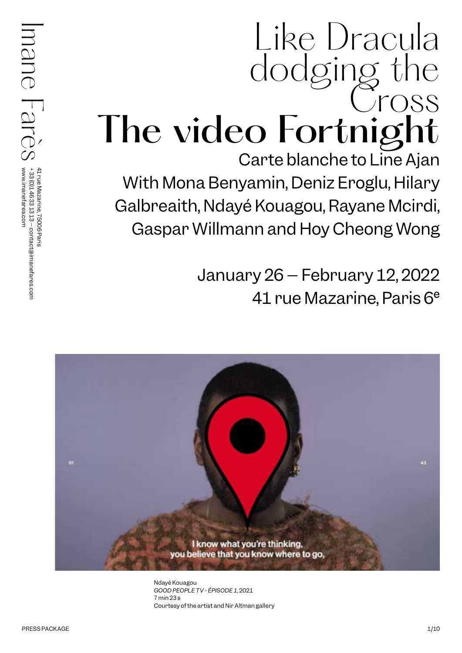# Like Dracula dodging the Cross The video Fortnight Carte blanche to Line Ajan With Mona Benyamin, Deniz Eroglu, Hilary

Galbreaith, Ndayé Kouagou, Rayane Mcirdi, Gaspar Willmann and Hoy Cheong Wong

> January 26 – February 12, 2022 41 rue Mazarine, Paris 6e



Ndayé Kouagou *GOOD PEOPLE TV - ÉPISODE 1*, 2021 7 min 23 s Courtesy of the artist and Nir Altman gallery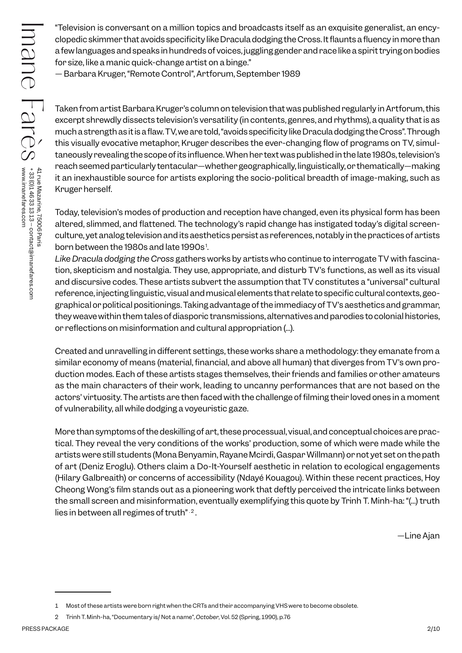"Television is conversant on a million topics and broadcasts itself as an exquisite generalist, an encyclopedic skimmer that avoids specificity like Dracula dodging the Cross. It flaunts a fluency in more than a few languages and speaks in hundreds of voices, juggling gender and race like a spirit trying on bodies for size, like a manic quick-change artist on a binge."

— Barbara Kruger, "Remote Control", Artforum, September 1989

Taken from artist Barbara Kruger's column on television that was published regularly in Artforum, this excerpt shrewdly dissects television's versatility (in contents, genres, and rhythms), a quality that is as much a strength as it is a flaw. TV, we are told, "avoids specificity like Dracula dodging the Cross". Through this visually evocative metaphor, Kruger describes the ever-changing flow of programs on TV, simultaneously revealing the scope of its influence. When her text was published in the late 1980s, television's reach seemed particularly tentacular—whether geographically, linguistically, or thematically—making it an inexhaustible source for artists exploring the socio-political breadth of image-making, such as Kruger herself.

Today, television's modes of production and reception have changed, even its physical form has been altered, slimmed, and flattened. The technology's rapid change has instigated today's digital screenculture, yet analog television and its aesthetics persist as references, notably in the practices of artists born between the 1980s and late 1990s<sup>1</sup>.

*Like Dracula dodging the Cross* gathers works by artists who continue to interrogate TV with fascination, skepticism and nostalgia. They use, appropriate, and disturb TV's functions, as well as its visual and discursive codes. These artists subvert the assumption that TV constitutes a "universal" cultural reference, injecting linguistic, visual and musical elements that relate to specific cultural contexts, geographical or political positionings. Taking advantage of the immediacy of TV's aesthetics and grammar, they weave within them tales of diasporic transmissions, alternatives and parodies to colonial histories, or reflections on misinformation and cultural appropriation (...).

Created and unravelling in different settings, these works share a methodology: they emanate from a similar economy of means (material, financial, and above all human) that diverges from TV's own production modes. Each of these artists stages themselves, their friends and families or other amateurs as the main characters of their work, leading to uncanny performances that are not based on the actors' virtuosity. The artists are then faced with the challenge of filming their loved ones in a moment of vulnerability, all while dodging a voyeuristic gaze.

PER INTERNATION control worrelations and particle and particle and particle and particle and particle and particle and particle and particle and particle and particle and particle and particle and particle and particle and More than symptoms of the deskilling of art, these processual, visual, and conceptual choices are practical. They reveal the very conditions of the works' production, some of which were made while the artists were still students (Mona Benyamin, Rayane Mcirdi, Gaspar Willmann) or not yet set on the path of art (Deniz Eroglu). Others claim a Do-It-Yourself aesthetic in relation to ecological engagements (Hilary Galbreaith) or concerns of accessibility (Ndayé Kouagou). Within these recent practices, Hoy Cheong Wong's film stands out as a pioneering work that deftly perceived the intricate links between the small screen and misinformation, eventually exemplifying this quote by Trinh T. Minh-ha: "(...) truth lies in between all regimes of truth" <sup>2</sup>.

—Line Ajan

<sup>1</sup> Most of these artists were born right when the CRTs and their accompanying VHS were to become obsolete.

<sup>2</sup> Trinh T. Minh-ha, "Documentary is/ Not a name", *October*, Vol. 52 (Spring, 1990), p.76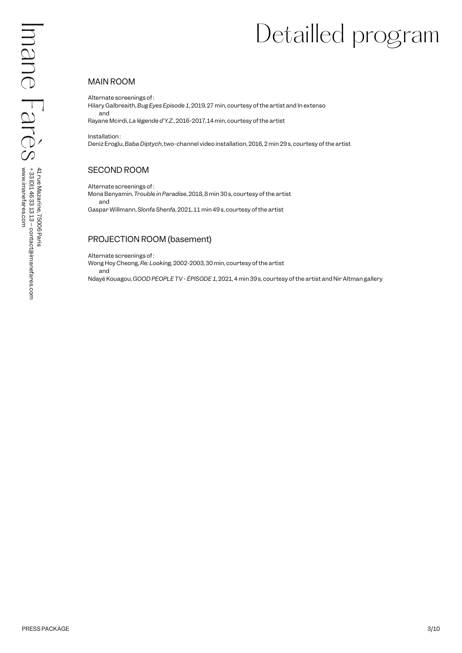## Detailled program

#### MAIN ROOM

Alternate screenings of :

Hilary Galbreaith, *Bug Eyes Episode 1*, 2019, 27 min, courtesy of the artist and In extenso and

Rayane Mcirdi, *La légende d'Y.Z.*, 2016-2017, 14 min, courtesy of the artist

Installation : Deniz Eroglu, *Baba Diptych*, two-channel video installation, 2016, 2 min 29 s, courtesy of the artist

#### SECOND ROOM

Alternate screenings of : Mona Benyamin, *Trouble in Paradise*, 2018, 8 min 30 s, courtesy of the artist and Gaspar Willmann, *Slonfa Shenfa*, 2021, 11 min 49 s, courtesy of the artist

#### PROJECTION ROOM (basement)

Alternate screenings of :

PRESS PACKAGE 3<br>
PRESS PACKAGE 3<br>
PRESS PACKAGE 3<br>
Maximum accountage 3<br>
Maximum accountage 3<br>
Maximum accountage 3<br>
PRESS PRESS PACKAGE 3<br>
PRESS PACKAGE 3<br>
PRESS PARIS PRESS PARIS PARIS PARIS PARIS PARIS PARIS PARIS PARIS Wong Hoy Cheong, *Re: Looking,* 2002-2003, 30 min, courtesy of the artist and Ndayé Kouagou, *GOOD PEOPLE TV - ÉPISODE 1,* 2021, 4 min 39 s, courtesy of the artist and Nir Altman gallery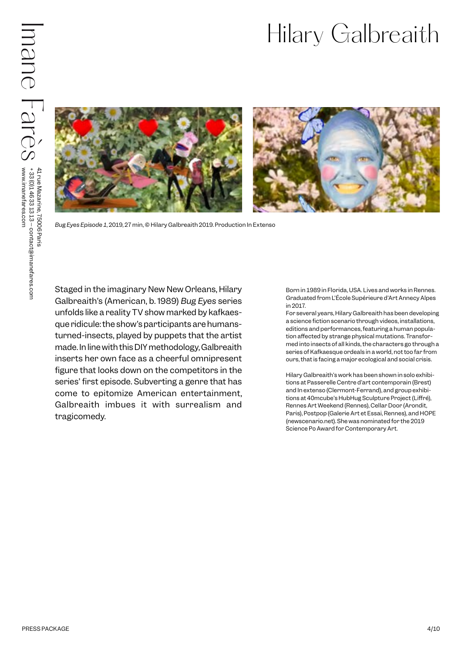## Hilary Galbreaith



*Bug Eyes Episode 1*, 2019, 27 min, © Hilary Galbreaith 2019. Production In Extenso

**PRESS PACKAGE ACCORD MANUFACTS PACKAGE ACCORD MANUFACTS PACKAGE ACCORD MANUFACTS PACKAGE ACCORD MANUFACTS PACKAGE ACCORD MANUFACTS PACKAGE ACCORD MANUFACTS PACKAGE ACCORD MANUFACTS PACKAGE ACCORD MANUFACTS PACKAGE ACCORD** Staged in the imaginary New New Orleans, Hilary Galbreaith's (American, b. 1989) *Bug Eyes* series unfolds like a reality TV show marked by kafkaesque ridicule: the show's participants are humansturned-insects, played by puppets that the artist made. In line with this DIY methodology, Galbreaith inserts her own face as a cheerful omnipresent figure that looks down on the competitors in the series' first episode. Subverting a genre that has come to epitomize American entertainment, Galbreaith imbues it with surrealism and tragicomedy.

Born in 1989 in Florida, USA. Lives and works in Rennes. Graduated from L'École Supérieure d'Art Annecy Alpes in 2017.

For several years, Hilary Galbreaith has been developing a science fiction scenario through videos, installations, editions and performances, featuring a human population affected by strange physical mutations. Transformed into insects of all kinds, the characters go through a series of Kafkaesque ordeals in a world, not too far from ours, that is facing a major ecological and social crisis.

Hilary Galbreaith's work has been shown in solo exhibitions at Passerelle Centre d'art contemporain (Brest) and In extenso (Clermont-Ferrand), and group exhibitions at 40mcube's HubHug Sculpture Project (Liffré), Rennes Art Weekend (Rennes), Cellar Door (Arondit, Paris), Postpop (Galerie Art et Essai, Rennes), and HOPE (newscenario.net). She was nominated for the 2019 Science Po Award for Contemporary Art.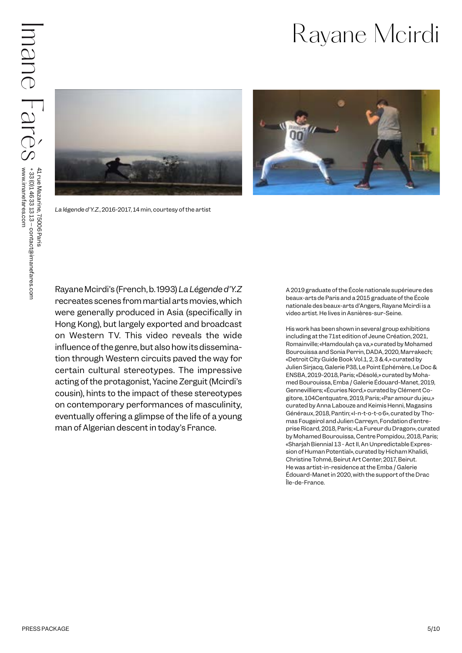

*La légende d'Y.Z.*, 2016-2017, 14 min, courtesy of the artist



PRESS PACKAGE STRAIN AND CONSULTED A CONSULTED AND CONSULTED AND CONSULTED AND CONSULTED AND CONSULTED AND CONSULTED AND CONSULTED AND CONSULTED AND CONSULTED AND CONSULTED AND CONSULTED AND CONSULTED AND CONSULTED AND CON Rayane Mcirdi's (French, b. 1993) *La Légende d'Y.Z* recreates scenes from martial arts movies, which were generally produced in Asia (specifically in Hong Kong), but largely exported and broadcast on Western TV. This video reveals the wide influence of the genre, but also how its dissemination through Western circuits paved the way for certain cultural stereotypes. The impressive acting of the protagonist, Yacine Zerguit (Mcirdi's cousin), hints to the impact of these stereotypes on contemporary performances of masculinity, eventually offering a glimpse of the life of a young man of Algerian descent in today's France.

A 2019 graduate of the École nationale supérieure des beaux-arts de Paris and a 2015 graduate of the École nationale des beaux-arts d'Angers, Rayane Mcirdi is a video artist. He lives in Asnières-sur-Seine.

His work has been shown in several group exhibitions including at the 71st edition of Jeune Création, 2021, Romainville; «Hamdoulah ça va,» curated by Mohamed Bourouissa and Sonia Perrin, DADA, 2020, Marrakech; «Detroit City Guide Book Vol.1, 2, 3 & 4,» curated by Julien Sirjacq, Galerie P38, Le Point Ephémère, Le Doc & ENSBA, 2019-2018, Paris; «Désolé,» curated by Mohamed Bourouissa, Emba / Galerie Édouard-Manet, 2019, Gennevilliers; «Écuries Nord,» curated by Clément Cogitore, 104Centquatre, 2019, Paris; «Par amour du jeu,» curated by Anna Labouze and Keimis Henni, Magasins Généraux, 2018, Pantin; «I-n-t-o-t-o 6», curated by Thomas Fougeirol and Julien Carreyn, Fondation d'entreprise Ricard, 2018, Paris; «La Fureur du Dragon», curated by Mohamed Bourouissa, Centre Pompidou, 2018, Paris; «Sharjah Biennial 13 - Act II, An Unpredictable Expression of Human Potential», curated by Hicham Khalidi, Christine Tohmé, Beirut Art Center, 2017, Beirut. He was artist-in-residence at the Emba / Galerie Édouard-Manet in 2020, with the support of the Drac Île-de-France.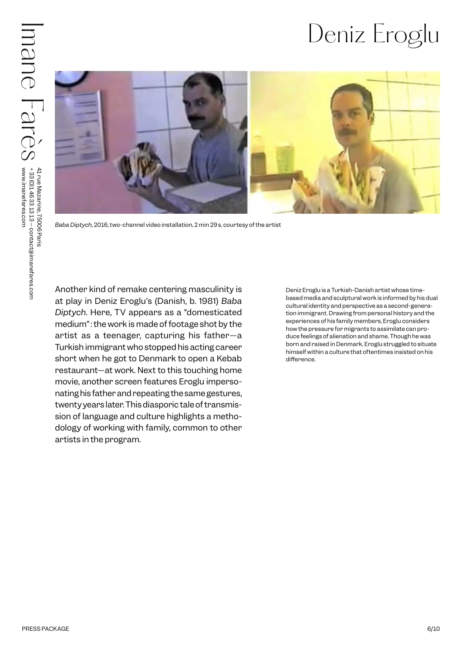### Deniz Eroglu



*Baba Diptych,* 2016, two-channel video installation, 2 min 29 s, courtesy of the artist

PRESS PACKAGE SURFACE TO CONSULTED THE CONSULTED TRANSPORTED TO CONSULTED A CONSULTED AND A CONSULTED AND A CONSULTED AND A CONSULTED AND A CONSULTED AND A CONSULTED AND CONSULTED AND CONSULTED AND CONSULTED AND CONSULTED Another kind of remake centering masculinity is at play in Deniz Eroglu's (Danish, b. 1981) *Baba Diptych*. Here, TV appears as a "domesticated medium" : the work is made of footage shot by the artist as a teenager, capturing his father—a Turkish immigrant who stopped his acting career short when he got to Denmark to open a Kebab restaurant—at work. Next to this touching home movie, another screen features Eroglu impersonating his father and repeating the same gestures, twenty years later. This diasporic tale of transmission of language and culture highlights a methodology of working with family, common to other artists in the program.

Deniz Eroglu is a Turkish-Danish artist whose timebased media and sculptural work is informed by his dual cultural identity and perspective as a second-generation immigrant. Drawing from personal history and the experiences of his family members, Eroglu considers how the pressure for migrants to assimilate can produce feelings of alienation and shame. Though he was born and raised in Denmark, Eroglu struggled to situate himself within a culture that oftentimes insisted on his difference.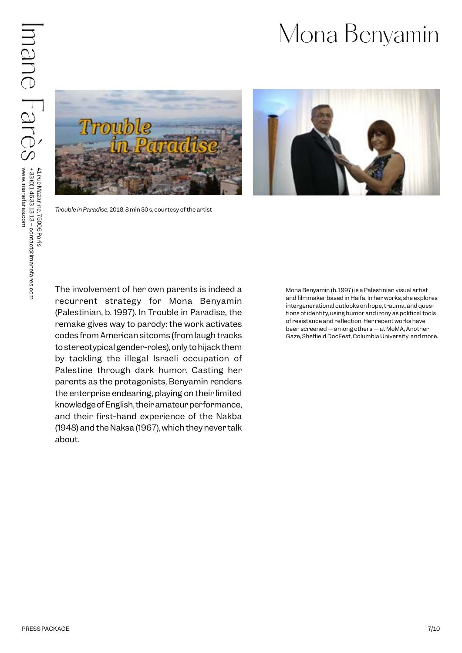#### Mona Benyamin



*Trouble in Paradise,* 2018, 8 min 30 s, courtesy of the artist



PRESS PACKAGE 7<br>
PRESS PACKAGE 7<br>
PRESS PACKAGE 7<br>
PRESS PACKAGE 7<br>
PRESS PACKAGE 7<br>
PRESS PACKAGE 7<br>
PRESS PACKAGE 7<br>
PRESS PACKAGE 7<br>
PRESS PACKAGE 7<br>
PRESS PACKAGE 7<br>
PRESS PACKAGE 7<br>
PRESS PACKAGE 7<br>
PRESS PACKAGE 7<br>
P The involvement of her own parents is indeed a recurrent strategy for Mona Benyamin (Palestinian, b. 1997). In Trouble in Paradise, the remake gives way to parody: the work activates codes from American sitcoms (from laugh tracks to stereotypical gender-roles), only to hijack them by tackling the illegal Israeli occupation of Palestine through dark humor. Casting her parents as the protagonists, Benyamin renders the enterprise endearing, playing on their limited knowledge of English, their amateur performance, and their first-hand experience of the Nakba (1948) and the Naksa (1967), which they never talk about.

Mona Benyamin (b.1997) is a Palestinian visual artist and filmmaker based in Haifa. In her works, she explores intergenerational outlooks on hope, trauma, and questions of identity, using humor and irony as political tools of resistance and reflection. Her recent works have been screened — among others — at MoMA, Another Gaze, Sheffield DocFest, Columbia University, and more.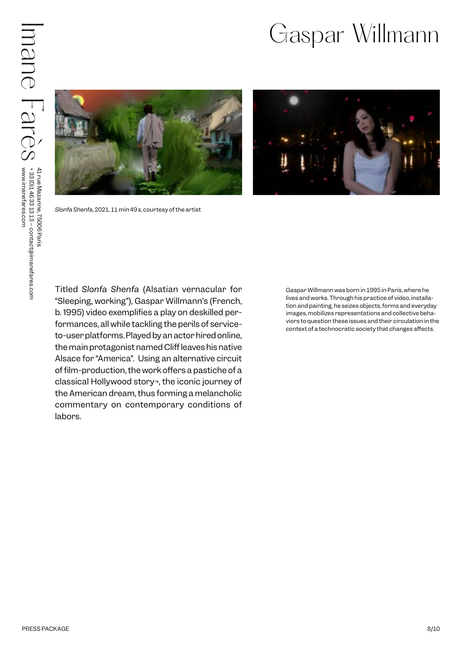#### Gaspar Willmann





*Slonfa Shenfa,* 2021, 11 min 49 s, courtesy of the artist

PRESS PACKAGE SURFACE AT THE WAS CONSULTED TO THE WAY ON THE WAY TO THE SURFACE IN THE WAY AND THE WAY AND THE SURFACE IN THE WAY TO CONSULTED TO THE SURFACE IN THE WAY ON THE SURFACE IN THE SURFACE IN THE SURFACE IN THE S Titled *Slonfa Shenfa* (Alsatian vernacular for "Sleeping, working"), Gaspar Willmann's (French, b. 1995) video exemplifies a play on deskilled performances, all while tackling the perils of serviceto-user platforms. Played by an actor hired online, the main protagonist named Cliff leaves his native Alsace for "America". Using an alternative circuit of film-production, the work offers a pastiche of a classical Hollywood story¬, the iconic journey of the American dream, thus forming a melancholic commentary on contemporary conditions of labors.

Gaspar Willmann was born in 1995 in Paris, where he lives and works. Through his practice of video, installation and painting, he seizes objects, forms and everyday images, mobilizes representations and collective behaviors to question these issues and their circulation in the context of a technocratic society that changes affects.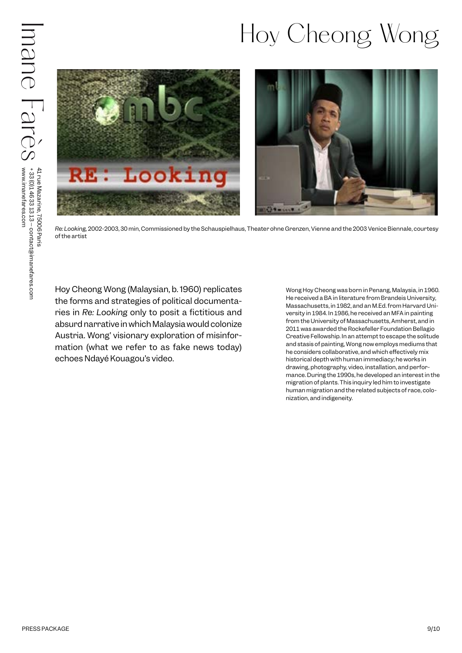## Hoy Cheong Wong



*Re: Looking,* 2002-2003, 30 min, Commissioned by the Schauspielhaus, Theater ohne Grenzen, Vienne and the 2003 Venice Biennale, courtesy of the artist

Hoy Cheong Wong (Malaysian, b. 1960) replicates the forms and strategies of political documentaries in *Re: Looking* only to posit a fictitious and absurd narrative in which Malaysia would colonize Austria. Wong' visionary exploration of misinformation (what we refer to as fake news today) echoes Ndayé Kouagou's video.

Wong Hoy Cheong was born in Penang, Malaysia, in 1960. He received a BA in literature from Brandeis University, Massachusetts, in 1982, and an M.Ed. from Harvard University in 1984. In 1986, he received an MFA in painting from the University of Massachusetts, Amherst, and in 2011 was awarded the Rockefeller Foundation Bellagio Creative Fellowship. In an attempt to escape the solitude and stasis of painting, Wong now employs mediums that he considers collaborative, and which effectively mix historical depth with human immediacy; he works in drawing, photography, video, installation, and performance. During the 1990s, he developed an interest in the migration of plants. This inquiry led him to investigate human migration and the related subjects of race, colonization, and indigeneity.